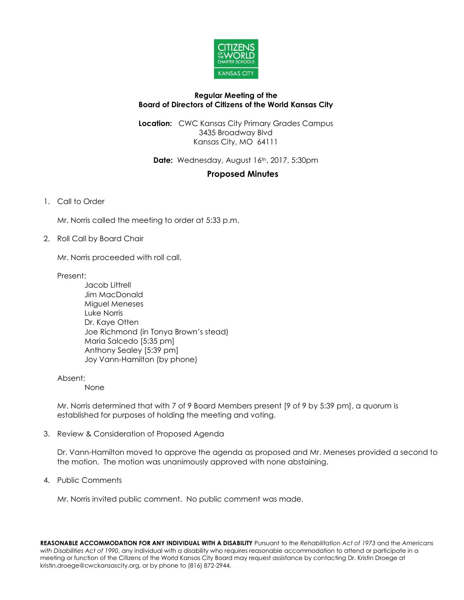

## **Regular Meeting of the Board of Directors of Citizens of the World Kansas City**

**Location:** CWC Kansas City Primary Grades Campus 3435 Broadway Blvd Kansas City, MO 64111

Date: Wednesday, August 16th, 2017, 5:30pm

## **Proposed Minutes**

1. Call to Order

Mr. Norris called the meeting to order at 5:33 p.m.

2. Roll Call by Board Chair

Mr. Norris proceeded with roll call.

Present:

Jacob Littrell Jim MacDonald Miguel Meneses Luke Norris Dr. Kaye Otten Joe Richmond (in Tonya Brown's stead) Maria Salcedo [5:35 pm] Anthony Sealey [5:39 pm] Joy Vann-Hamilton (by phone)

Absent:

None

Mr. Norris determined that with 7 of 9 Board Members present [9 of 9 by 5:39 pm], a quorum is established for purposes of holding the meeting and voting.

3. Review & Consideration of Proposed Agenda

Dr. Vann-Hamilton moved to approve the agenda as proposed and Mr. Meneses provided a second to the motion. The motion was unanimously approved with none abstaining.

4. Public Comments

Mr. Norris invited public comment. No public comment was made.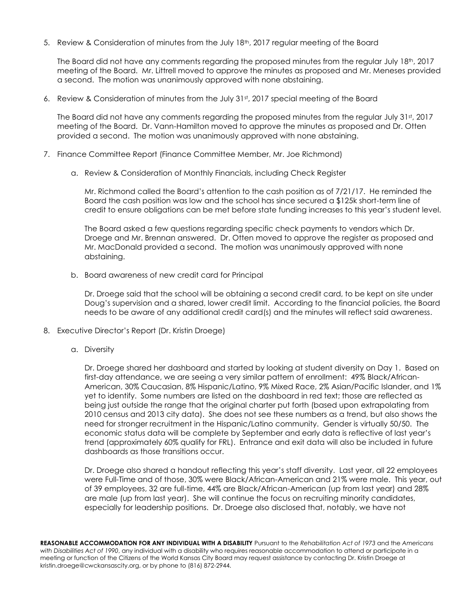5. Review & Consideration of minutes from the July 18th, 2017 regular meeting of the Board

The Board did not have any comments regarding the proposed minutes from the regular July  $18<sup>th</sup>$ , 2017 meeting of the Board. Mr. Littrell moved to approve the minutes as proposed and Mr. Meneses provided a second. The motion was unanimously approved with none abstaining.

6. Review & Consideration of minutes from the July 31st, 2017 special meeting of the Board

The Board did not have any comments regarding the proposed minutes from the regular July 31st, 2017 meeting of the Board. Dr. Vann-Hamilton moved to approve the minutes as proposed and Dr. Otten provided a second. The motion was unanimously approved with none abstaining.

- 7. Finance Committee Report (Finance Committee Member, Mr. Joe Richmond)
	- a. Review & Consideration of Monthly Financials, including Check Register

Mr. Richmond called the Board's attention to the cash position as of 7/21/17. He reminded the Board the cash position was low and the school has since secured a \$125k short-term line of credit to ensure obligations can be met before state funding increases to this year's student level.

The Board asked a few questions regarding specific check payments to vendors which Dr. Droege and Mr. Brennan answered. Dr. Otten moved to approve the register as proposed and Mr. MacDonald provided a second. The motion was unanimously approved with none abstaining.

b. Board awareness of new credit card for Principal

Dr. Droege said that the school will be obtaining a second credit card, to be kept on site under Doug's supervision and a shared, lower credit limit. According to the financial policies, the Board needs to be aware of any additional credit card(s) and the minutes will reflect said awareness.

- 8. Executive Director's Report (Dr. Kristin Droege)
	- a. Diversity

Dr. Droege shared her dashboard and started by looking at student diversity on Day 1. Based on first-day attendance, we are seeing a very similar pattern of enrollment: 49% Black/African-American, 30% Caucasian, 8% Hispanic/Latino, 9% Mixed Race, 2% Asian/Pacific Islander, and 1% yet to identify. Some numbers are listed on the dashboard in red text; those are reflected as being just outside the range that the original charter put forth (based upon extrapolating from 2010 census and 2013 city data). She does not see these numbers as a trend, but also shows the need for stronger recruitment in the Hispanic/Latino community. Gender is virtually 50/50. The economic status data will be complete by September and early data is reflective of last year's trend (approximately 60% qualify for FRL). Entrance and exit data will also be included in future dashboards as those transitions occur.

Dr. Droege also shared a handout reflecting this year's staff diversity. Last year, all 22 employees were Full-Time and of those, 30% were Black/African-American and 21% were male. This year, out of 39 employees, 32 are full-time, 44% are Black/African-American (up from last year) and 28% are male (up from last year). She will continue the focus on recruiting minority candidates, especially for leadership positions. Dr. Droege also disclosed that, notably, we have not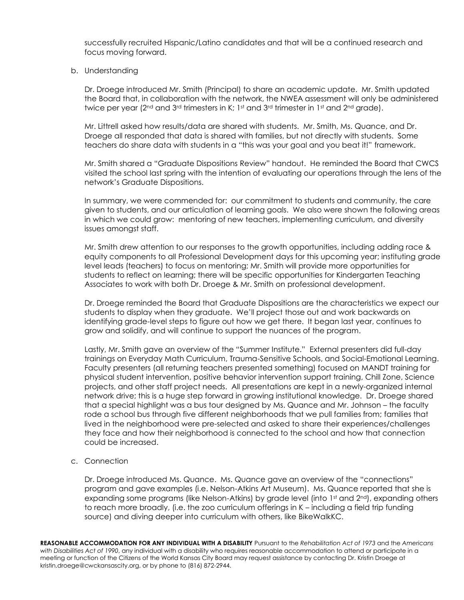successfully recruited Hispanic/Latino candidates and that will be a continued research and focus moving forward.

## b. Understanding

Dr. Droege introduced Mr. Smith (Principal) to share an academic update. Mr. Smith updated the Board that, in collaboration with the network, the NWEA assessment will only be administered twice per year (2<sup>nd</sup> and 3<sup>rd</sup> trimesters in K; 1<sup>st</sup> and 3<sup>rd</sup> trimester in 1st and 2<sup>nd</sup> grade).

Mr. Littrell asked how results/data are shared with students. Mr. Smith, Ms. Quance, and Dr. Droege all responded that data is shared with families, but not directly with students. Some teachers do share data with students in a "this was your goal and you beat it!" framework.

Mr. Smith shared a "Graduate Dispositions Review" handout. He reminded the Board that CWCS visited the school last spring with the intention of evaluating our operations through the lens of the network's Graduate Dispositions.

In summary, we were commended for: our commitment to students and community, the care given to students, and our articulation of learning goals. We also were shown the following areas in which we could grow: mentoring of new teachers, implementing curriculum, and diversity issues amongst staff.

Mr. Smith drew attention to our responses to the growth opportunities, including adding race & equity components to all Professional Development days for this upcoming year; instituting grade level leads (teachers) to focus on mentoring; Mr. Smith will provide more opportunities for students to reflect on learning; there will be specific opportunities for Kindergarten Teaching Associates to work with both Dr. Droege & Mr. Smith on professional development.

Dr. Droege reminded the Board that Graduate Dispositions are the characteristics we expect our students to display when they graduate. We'll project those out and work backwards on identifying grade-level steps to figure out how we get there. It began last year, continues to grow and solidify, and will continue to support the nuances of the program.

Lastly, Mr. Smith gave an overview of the "Summer Institute." External presenters did full-day trainings on Everyday Math Curriculum, Trauma-Sensitive Schools, and Social-Emotional Learning. Faculty presenters (all returning teachers presented something) focused on MANDT training for physical student intervention, positive behavior intervention support training, Chill Zone, Science projects, and other staff project needs. All presentations are kept in a newly-organized internal network drive; this is a huge step forward in growing institutional knowledge. Dr. Droege shared that a special highlight was a bus tour designed by Ms. Quance and Mr. Johnson – the faculty rode a school bus through five different neighborhoods that we pull families from; families that lived in the neighborhood were pre-selected and asked to share their experiences/challenges they face and how their neighborhood is connected to the school and how that connection could be increased.

## c. Connection

Dr. Droege introduced Ms. Quance. Ms. Quance gave an overview of the "connections" program and gave examples (i.e. Nelson-Atkins Art Museum). Ms. Quance reported that she is expanding some programs (like Nelson-Atkins) by grade level (into 1st and 2<sup>nd</sup>), expanding others to reach more broadly, (i.e. the zoo curriculum offerings in K – including a field trip funding source) and diving deeper into curriculum with others, like BikeWalkKC.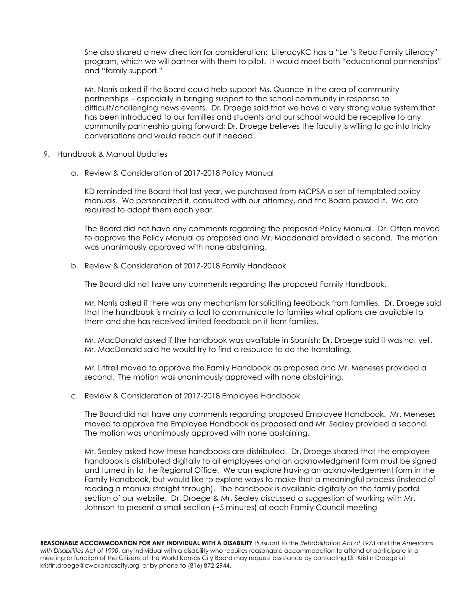She also shared a new direction for consideration: LiteracyKC has a "Let's Read Family Literacy" program, which we will partner with them to pilot. It would meet both "educational partnerships" and "family support."

Mr. Norris asked if the Board could help support Ms. Quance in the area of community partnerships – especially in bringing support to the school community in response to difficult/challenging news events. Dr. Droege said that we have a very strong value system that has been introduced to our families and students and our school would be receptive to any community partnership going forward; Dr. Droege believes the faculty is willing to go into tricky conversations and would reach out if needed.

- 9. Handbook & Manual Updates
	- a. Review & Consideration of 2017-2018 Policy Manual

KD reminded the Board that last year, we purchased from MCPSA a set of templated policy manuals. We personalized it, consulted with our attorney, and the Board passed it. We are required to adopt them each year.

The Board did not have any comments regarding the proposed Policy Manual. Dr. Otten moved to approve the Policy Manual as proposed and Mr. Macdonald provided a second. The motion was unanimously approved with none abstaining.

b. Review & Consideration of 2017-2018 Family Handbook

The Board did not have any comments regarding the proposed Family Handbook.

Mr. Norris asked if there was any mechanism for soliciting feedback from families. Dr. Droege said that the handbook is mainly a tool to communicate to families what options are available to them and she has received limited feedback on it from families.

Mr. MacDonald asked if the handbook was available in Spanish; Dr. Droege said it was not yet. Mr. MacDonald said he would try to find a resource to do the translating.

Mr. Littrell moved to approve the Family Handbook as proposed and Mr. Meneses provided a second. The motion was unanimously approved with none abstaining.

c. Review & Consideration of 2017-2018 Employee Handbook

The Board did not have any comments regarding proposed Employee Handbook. Mr. Meneses moved to approve the Employee Handbook as proposed and Mr. Sealey provided a second. The motion was unanimously approved with none abstaining.

Mr. Sealey asked how these handbooks are distributed. Dr. Droege shared that the employee handbook is distributed digitally to all employees and an acknowledgment form must be signed and turned in to the Regional Office. We can explore having an acknowledgement form in the Family Handbook, but would like to explore ways to make that a meaningful process (instead of reading a manual straight through). The handbook is available digitally on the family portal section of our website. Dr. Droege & Mr. Sealey discussed a suggestion of working with Mr. Johnson to present a small section (~5 minutes) at each Family Council meeting